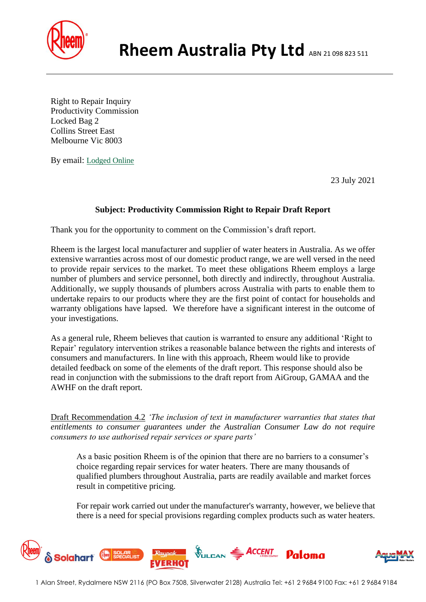

Right to Repair Inquiry Productivity Commission Locked Bag 2 Collins Street East Melbourne Vic 8003

By email: [Lodged](mailto:energy.upgrades@delwp.vic.gov.au?subject=) Online

23 July 2021

## **Subject: Productivity Commission Right to Repair Draft Report**

Thank you for the opportunity to comment on the Commission's draft report.

Rheem is the largest local manufacturer and supplier of water heaters in Australia. As we offer extensive warranties across most of our domestic product range, we are well versed in the need to provide repair services to the market. To meet these obligations Rheem employs a large number of plumbers and service personnel, both directly and indirectly, throughout Australia. Additionally, we supply thousands of plumbers across Australia with parts to enable them to undertake repairs to our products where they are the first point of contact for households and warranty obligations have lapsed. We therefore have a significant interest in the outcome of your investigations.

As a general rule, Rheem believes that caution is warranted to ensure any additional 'Right to Repair' regulatory intervention strikes a reasonable balance between the rights and interests of consumers and manufacturers. In line with this approach, Rheem would like to provide detailed feedback on some of the elements of the draft report. This response should also be read in conjunction with the submissions to the draft report from AiGroup, GAMAA and the AWHF on the draft report.

Draft Recommendation 4.2 *'The inclusion of text in manufacturer warranties that states that entitlements to consumer guarantees under the Australian Consumer Law do not require consumers to use authorised repair services or spare parts'*

As a basic position Rheem is of the opinion that there are no barriers to a consumer's choice regarding repair services for water heaters. There are many thousands of qualified plumbers throughout Australia, parts are readily available and market forces result in competitive pricing.

For repair work carried out under the manufacturer's warranty, however, we believe that there is a need for special provisions regarding complex products such as water heaters.

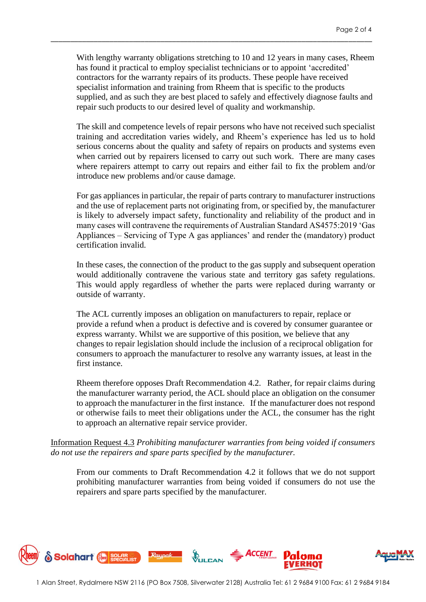With lengthy warranty obligations stretching to 10 and 12 years in many cases, Rheem has found it practical to employ specialist technicians or to appoint 'accredited' contractors for the warranty repairs of its products. These people have received specialist information and training from Rheem that is specific to the products supplied, and as such they are best placed to safely and effectively diagnose faults and repair such products to our desired level of quality and workmanship.

\_\_\_\_\_\_\_\_\_\_\_\_\_\_\_\_\_\_\_\_\_\_\_\_\_\_\_\_\_\_\_\_\_\_\_\_\_\_\_\_\_\_\_\_\_\_\_\_\_\_\_\_\_\_\_\_\_\_\_\_\_\_\_\_\_\_\_\_\_\_\_\_\_\_\_\_\_\_\_\_\_\_

The skill and competence levels of repair persons who have not received such specialist training and accreditation varies widely, and Rheem's experience has led us to hold serious concerns about the quality and safety of repairs on products and systems even when carried out by repairers licensed to carry out such work. There are many cases where repairers attempt to carry out repairs and either fail to fix the problem and/or introduce new problems and/or cause damage.

For gas appliances in particular, the repair of parts contrary to manufacturer instructions and the use of replacement parts not originating from, or specified by, the manufacturer is likely to adversely impact safety, functionality and reliability of the product and in many cases will contravene the requirements of Australian Standard AS4575:2019 'Gas Appliances – Servicing of Type A gas appliances' and render the (mandatory) product certification invalid.

In these cases, the connection of the product to the gas supply and subsequent operation would additionally contravene the various state and territory gas safety regulations. This would apply regardless of whether the parts were replaced during warranty or outside of warranty.

The ACL currently imposes an obligation on manufacturers to repair, replace or provide a refund when a product is defective and is covered by consumer guarantee or express warranty. Whilst we are supportive of this position, we believe that any changes to repair legislation should include the inclusion of a reciprocal obligation for consumers to approach the manufacturer to resolve any warranty issues, at least in the first instance.

Rheem therefore opposes Draft Recommendation 4.2. Rather, for repair claims during the manufacturer warranty period, the ACL should place an obligation on the consumer to approach the manufacturer in the first instance. If the manufacturer does not respond or otherwise fails to meet their obligations under the ACL, the consumer has the right to approach an alternative repair service provider.

Information Request 4.3 *Prohibiting manufacturer warranties from being voided if consumers do not use the repairers and spare parts specified by the manufacturer.*

From our comments to Draft Recommendation 4.2 it follows that we do not support prohibiting manufacturer warranties from being voided if consumers do not use the repairers and spare parts specified by the manufacturer.

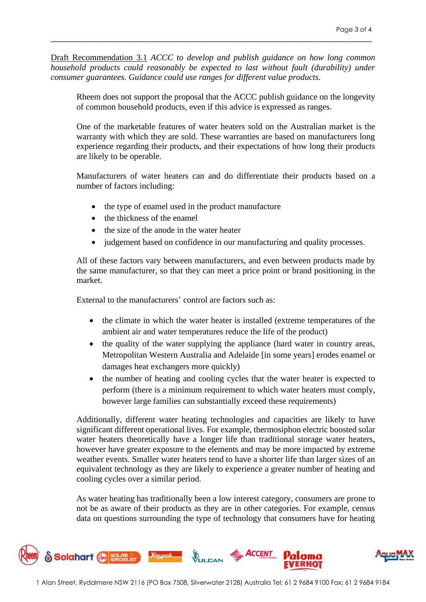Draft Recommendation 3.1 *ACCC to develop and publish guidance on how long common household products could reasonably be expected to last without fault (durability) under consumer guarantees. Guidance could use ranges for different value products.*

\_\_\_\_\_\_\_\_\_\_\_\_\_\_\_\_\_\_\_\_\_\_\_\_\_\_\_\_\_\_\_\_\_\_\_\_\_\_\_\_\_\_\_\_\_\_\_\_\_\_\_\_\_\_\_\_\_\_\_\_\_\_\_\_\_\_\_\_\_\_\_\_\_\_\_\_\_\_\_\_\_\_

Rheem does not support the proposal that the ACCC publish guidance on the longevity of common household products, even if this advice is expressed as ranges.

One of the marketable features of water heaters sold on the Australian market is the warranty with which they are sold. These warranties are based on manufacturers long experience regarding their products, and their expectations of how long their products are likely to be operable.

Manufacturers of water heaters can and do differentiate their products based on a number of factors including:

- the type of enamel used in the product manufacture
- the thickness of the enamel
- the size of the anode in the water heater
- judgement based on confidence in our manufacturing and quality processes.

All of these factors vary between manufacturers, and even between products made by the same manufacturer, so that they can meet a price point or brand positioning in the market.

External to the manufacturers' control are factors such as:

- the climate in which the water heater is installed (extreme temperatures of the ambient air and water temperatures reduce the life of the product)
- the quality of the water supplying the appliance (hard water in country areas, Metropolitan Western Australia and Adelaide [in some years] erodes enamel or damages heat exchangers more quickly)
- the number of heating and cooling cycles that the water heater is expected to perform (there is a minimum requirement to which water heaters must comply, however large families can substantially exceed these requirements)

Additionally, different water heating technologies and capacities are likely to have significant different operational lives. For example, thermosiphon electric boosted solar water heaters theoretically have a longer life than traditional storage water heaters, however have greater exposure to the elements and may be more impacted by extreme weather events. Smaller water heaters tend to have a shorter life than larger sizes of an equivalent technology as they are likely to experience a greater number of heating and cooling cycles over a similar period.

As water heating has traditionally been a low interest category, consumers are prone to not be as aware of their products as they are in other categories. For example, census data on questions surrounding the type of technology that consumers have for heating